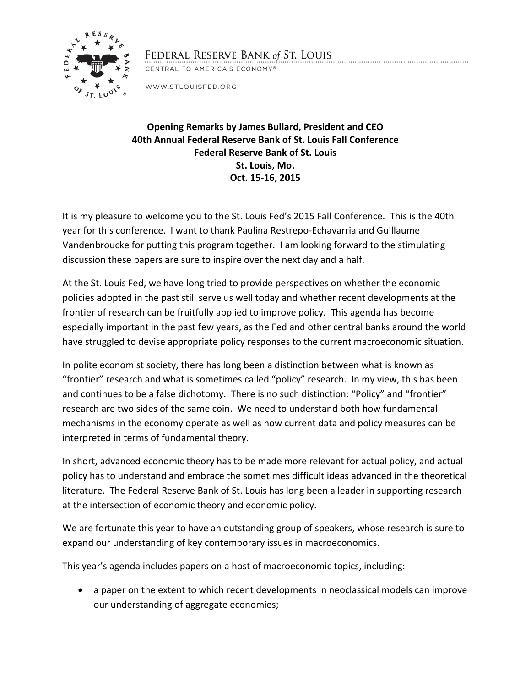

## FEDERAL RESERVE BANK of ST. LOUIS

CENTRAL TO AMERICA'S ECONOMY®

WWW.STLOUISFED.ORG

## **Opening Remarks by James Bullard, President and CEO 40th Annual Federal Reserve Bank of St. Louis Fall Conference Federal Reserve Bank of St. Louis St. Louis, Mo. Oct. 15-16, 2015**

It is my pleasure to welcome you to the St. Louis Fed's 2015 Fall Conference. This is the 40th year for this conference. I want to thank Paulina Restrepo-Echavarria and Guillaume Vandenbroucke for putting this program together. I am looking forward to the stimulating discussion these papers are sure to inspire over the next day and a half.

At the St. Louis Fed, we have long tried to provide perspectives on whether the economic policies adopted in the past still serve us well today and whether recent developments at the frontier of research can be fruitfully applied to improve policy. This agenda has become especially important in the past few years, as the Fed and other central banks around the world have struggled to devise appropriate policy responses to the current macroeconomic situation.

In polite economist society, there has long been a distinction between what is known as "frontier" research and what is sometimes called "policy" research. In my view, this has been and continues to be a false dichotomy. There is no such distinction: "Policy" and "frontier" research are two sides of the same coin. We need to understand both how fundamental mechanisms in the economy operate as well as how current data and policy measures can be interpreted in terms of fundamental theory.

In short, advanced economic theory has to be made more relevant for actual policy, and actual policy has to understand and embrace the sometimes difficult ideas advanced in the theoretical literature. The Federal Reserve Bank of St. Louis has long been a leader in supporting research at the intersection of economic theory and economic policy.

We are fortunate this year to have an outstanding group of speakers, whose research is sure to expand our understanding of key contemporary issues in macroeconomics.

This year's agenda includes papers on a host of macroeconomic topics, including:

• a paper on the extent to which recent developments in neoclassical models can improve our understanding of aggregate economies;